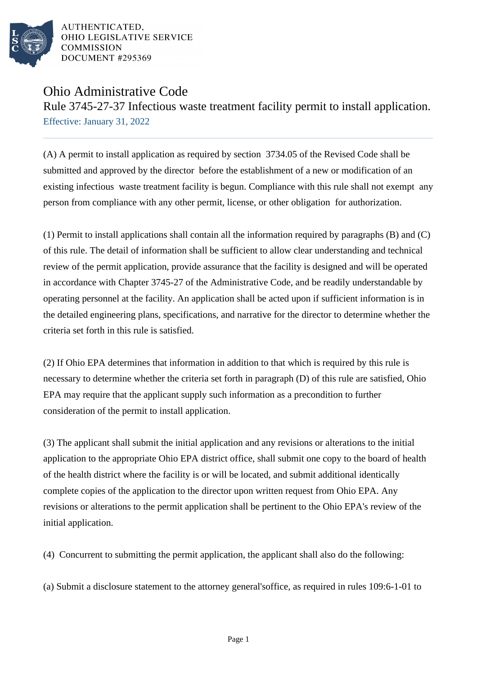

# Ohio Administrative Code

Rule 3745-27-37 Infectious waste treatment facility permit to install application. Effective: January 31, 2022

(A) A permit to install application as required by section 3734.05 of the Revised Code shall be submitted and approved by the director before the establishment of a new or modification of an existing infectious waste treatment facility is begun. Compliance with this rule shall not exempt any person from compliance with any other permit, license, or other obligation for authorization.

(1) Permit to install applications shall contain all the information required by paragraphs (B) and (C) of this rule. The detail of information shall be sufficient to allow clear understanding and technical review of the permit application, provide assurance that the facility is designed and will be operated in accordance with Chapter 3745-27 of the Administrative Code, and be readily understandable by operating personnel at the facility. An application shall be acted upon if sufficient information is in the detailed engineering plans, specifications, and narrative for the director to determine whether the criteria set forth in this rule is satisfied.

(2) If Ohio EPA determines that information in addition to that which is required by this rule is necessary to determine whether the criteria set forth in paragraph (D) of this rule are satisfied, Ohio EPA may require that the applicant supply such information as a precondition to further consideration of the permit to install application.

(3) The applicant shall submit the initial application and any revisions or alterations to the initial application to the appropriate Ohio EPA district office, shall submit one copy to the board of health of the health district where the facility is or will be located, and submit additional identically complete copies of the application to the director upon written request from Ohio EPA. Any revisions or alterations to the permit application shall be pertinent to the Ohio EPA's review of the initial application.

(4) Concurrent to submitting the permit application, the applicant shall also do the following:

(a) Submit a disclosure statement to the attorney general's office, as required in rules 109:6-1-01 to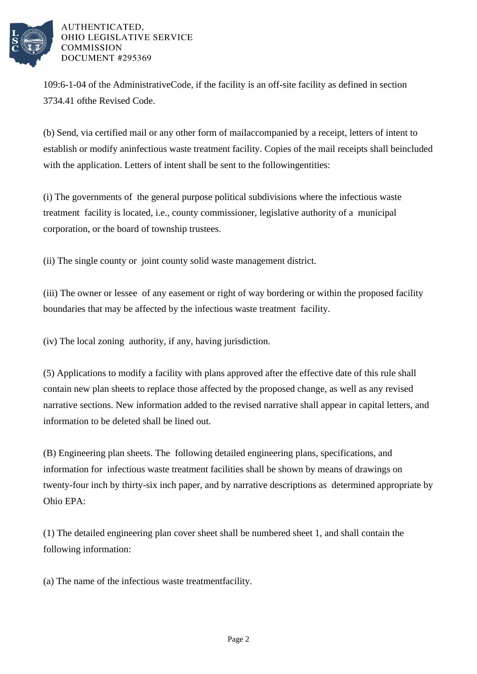

109:6-1-04 of the Administrative Code, if the facility is an off-site facility as defined in section 3734.41 of the Revised Code.

(b) Send, via certified mail or any other form of mail accompanied by a receipt, letters of intent to establish or modify an infectious waste treatment facility. Copies of the mail receipts shall be included with the application. Letters of intent shall be sent to the following entities:

(i) The governments of the general purpose political subdivisions where the infectious waste treatment facility is located, i.e., county commissioner, legislative authority of a municipal corporation, or the board of township trustees.

(ii) The single county or joint county solid waste management district.

(iii) The owner or lessee of any easement or right of way bordering or within the proposed facility boundaries that may be affected by the infectious waste treatment facility.

(iv) The local zoning authority, if any, having jurisdiction.

(5) Applications to modify a facility with plans approved after the effective date of this rule shall contain new plan sheets to replace those affected by the proposed change, as well as any revised narrative sections. New information added to the revised narrative shall appear in capital letters, and information to be deleted shall be lined out.

(B) Engineering plan sheets. The following detailed engineering plans, specifications, and information for infectious waste treatment facilities shall be shown by means of drawings on twenty-four inch by thirty-six inch paper, and by narrative descriptions as determined appropriate by Ohio EPA:

(1) The detailed engineering plan cover sheet shall be numbered sheet 1, and shall contain the following information:

(a) The name of the infectious waste treatment facility.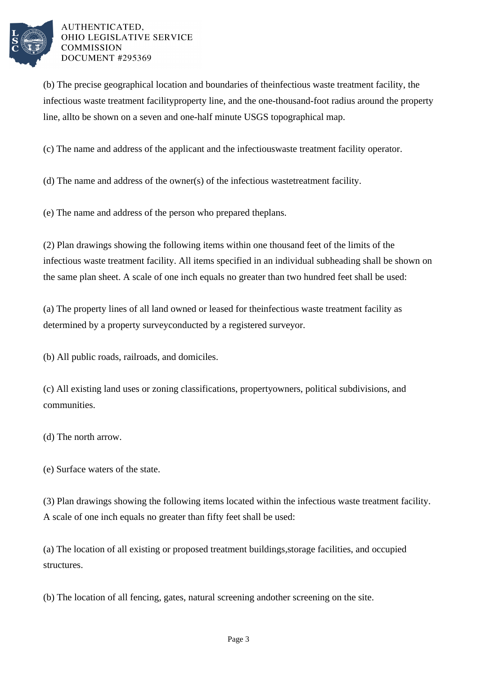

(b) The precise geographical location and boundaries of the infectious waste treatment facility, the infectious waste treatment facility property line, and the one-thousand-foot radius around the property line, all to be shown on a seven and one-half minute USGS topographical map.

(c) The name and address of the applicant and the infectious waste treatment facility operator.

(d) The name and address of the owner(s) of the infectious waste treatment facility.

(e) The name and address of the person who prepared the plans.

(2) Plan drawings showing the following items within one thousand feet of the limits of the infectious waste treatment facility. All items specified in an individual subheading shall be shown on the same plan sheet. A scale of one inch equals no greater than two hundred feet shall be used:

(a) The property lines of all land owned or leased for the infectious waste treatment facility as determined by a property survey conducted by a registered surveyor.

(b) All public roads, railroads, and domiciles.

(c) All existing land uses or zoning classifications, property owners, political subdivisions, and communities.

(d) The north arrow.

(e) Surface waters of the state.

(3) Plan drawings showing the following items located within the infectious waste treatment facility. A scale of one inch equals no greater than fifty feet shall be used:

(a) The location of all existing or proposed treatment buildings, storage facilities, and occupied structures.

(b) The location of all fencing, gates, natural screening and other screening on the site.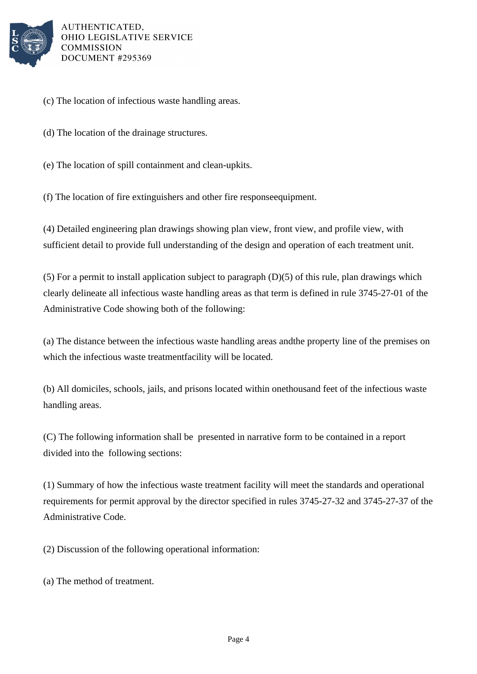

- (c) The location of infectious waste handling areas.
- (d) The location of the drainage structures.
- (e) The location of spill containment and clean-up kits.

(f) The location of fire extinguishers and other fire response equipment.

(4) Detailed engineering plan drawings showing plan view, front view, and profile view, with sufficient detail to provide full understanding of the design and operation of each treatment unit.

(5) For a permit to install application subject to paragraph  $(D)(5)$  of this rule, plan drawings which clearly delineate all infectious waste handling areas as that term is defined in rule 3745-27-01 of the Administrative Code showing both of the following:

(a) The distance between the infectious waste handling areas and the property line of the premises on which the infectious waste treatment facility will be located.

(b) All domiciles, schools, jails, and prisons located within one thousand feet of the infectious waste handling areas.

(C) The following information shall be presented in narrative form to be contained in a report divided into the following sections:

(1) Summary of how the infectious waste treatment facility will meet the standards and operational requirements for permit approval by the director specified in rules 3745-27-32 and 3745-27-37 of the Administrative Code.

 $(2)$  Discussion of the following operational information:

(a) The method of treatment.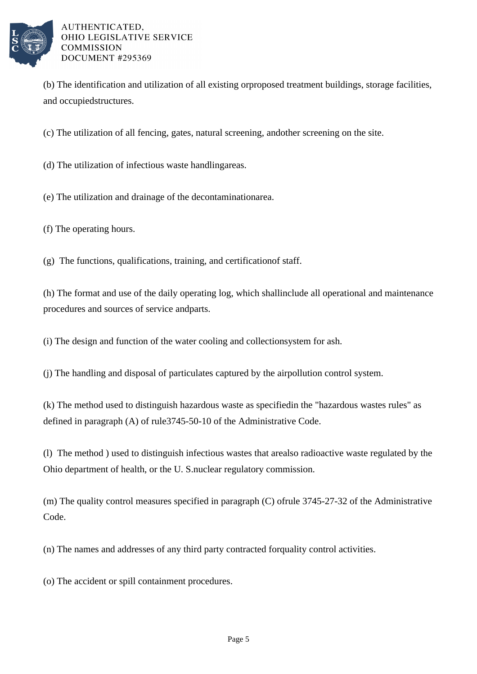

(b) The identification and utilization of all existing or proposed treatment buildings, storage facilities, and occupied structures.

(c) The utilization of all fencing, gates, natural screening, and other screening on the site.

(d) The utilization of infectious waste handling areas.

(e) The utilization and drainage of the decontamination area.

(f) The operating hours.

(g) The functions, qualifications, training, and certification of staff.

(h) The format and use of the daily operating log, which shall include all operational and maintenance procedures and sources of service and parts.

(i) The design and function of the water cooling and collection system for ash.

(i) The handling and disposal of particulates captured by the air pollution control system.

(k) The method used to distinguish hazardous waste as specified in the "hazardous wastes rules" as defined in paragraph  $(A)$  of rule  $3745-50-10$  of the Administrative Code.

(l) The method ) used to distinguish infectious wastes that are also radioactive waste regulated by the Ohio department of health, or the U.S. nuclear regulatory commission.

(m) The quality control measures specified in paragraph  $(C)$  of rule 3745-27-32 of the Administrative Code.

(n) The names and addresses of any third party contracted for quality control activities.

(o) The accident or spill containment procedures.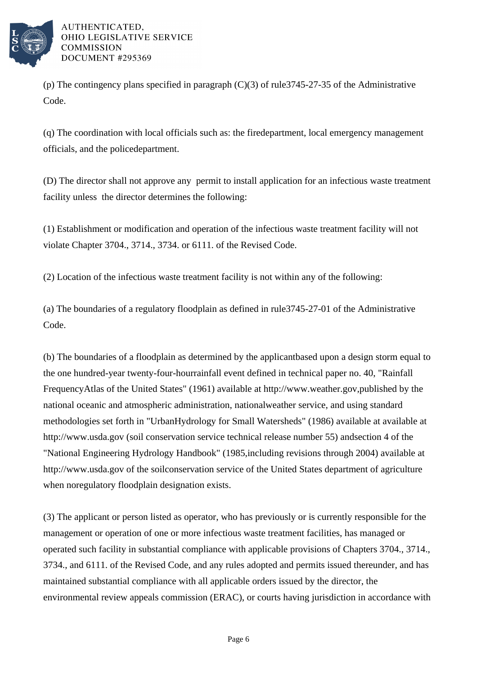

(p) The contingency plans specified in paragraph  $(C)(3)$  of rule  $3745-27-35$  of the Administrative Code.

(q) The coordination with local officials such as: the fire department, local emergency management officials, and the police department.

(D) The director shall not approve any permit to install application for an infectious waste treatment facility unless the director determines the following:

(1) Establishment or modification and operation of the infectious waste treatment facility will not violate Chapter 3704., 3714., 3734. or 6111. of the Revised Code.

 $(2)$  Location of the infectious waste treatment facility is not within any of the following:

(a) The boundaries of a regulatory floodplain as defined in rule 3745-27-01 of the Administrative Code.

(b) The boundaries of a floodplain as determined by the applicant based upon a design storm equal to the one hundred-year twenty-four-hour rainfall event defined in technical paper no. 40, "Rainfall Frequency Atlas of the United States" (1961) available at http://www.weather.gov, published by the national oceanic and atmospheric administration, national weather service, and using standard methodologies set forth in "Urban Hydrology for Small Watersheds" (1986) available at available at http://www.usda.gov (soil conservation service technical release number 55) and section 4 of the "National Engineering Hydrology Handbook" (1985, including revisions through 2004) available at http://www.usda.gov of the soil conservation service of the United States department of agriculture when no regulatory floodplain designation exists.

(3) The applicant or person listed as operator, who has previously or is currently responsible for the management or operation of one or more infectious waste treatment facilities, has managed or operated such facility in substantial compliance with applicable provisions of Chapters 3704., 3714., 3734., and 6111. of the Revised Code, and any rules adopted and permits issued thereunder, and has maintained substantial compliance with all applicable orders issued by the director, the environmental review appeals commission (ERAC), or courts having jurisdiction in accordance with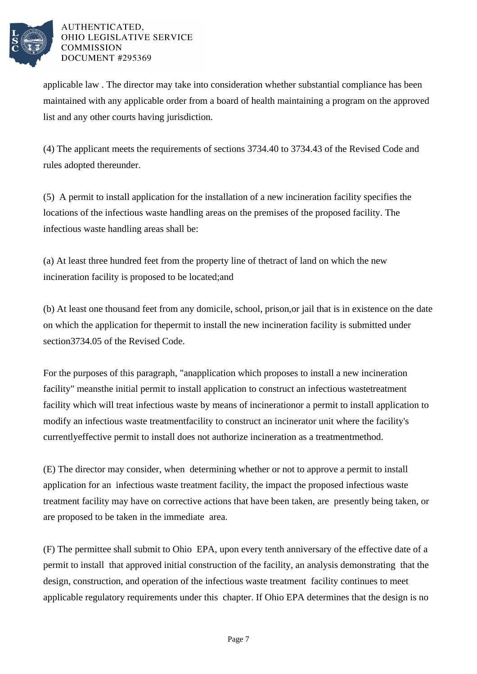

applicable law . The director may take into consideration whether substantial compliance has been maintained with any applicable order from a board of health maintaining a program on the approved list and any other courts having jurisdiction.

(4) The applicant meets the requirements of sections 3734.40 to 3734.43 of the Revised Code and rules adopted thereunder.

(5) A permit to install application for the installation of a new incineration facility specifies the locations of the infectious waste handling areas on the premises of the proposed facility. The infectious waste handling areas shall be:

(a) At least three hundred feet from the property line of the tract of land on which the new incineration facility is proposed to be located; and

(b) At least one thousand feet from any domicile, school, prison, or jail that is in existence on the date on which the application for the permit to install the new incineration facility is submitted under section 3734.05 of the Revised Code.

For the purposes of this paragraph, "an application which proposes to install a new incineration facility" means the initial permit to install application to construct an infectious waste treatment facility which will treat infectious waste by means of incineration or a permit to install application to modify an infectious waste treatment facility to construct an incinerator unit where the facility's currently effective permit to install does not authorize incineration as a treatment method.

(E) The director may consider, when determining whether or not to approve a permit to install application for an infectious waste treatment facility, the impact the proposed infectious waste treatment facility may have on corrective actions that have been taken, are presently being taken, or are proposed to be taken in the immediate area.

(F) The permittee shall submit to Ohio EPA, upon every tenth anniversary of the effective date of a permit to install that approved initial construction of the facility, an analysis demonstrating that the design, construction, and operation of the infectious waste treatment facility continues to meet applicable regulatory requirements under this chapter. If Ohio EPA determines that the design is no